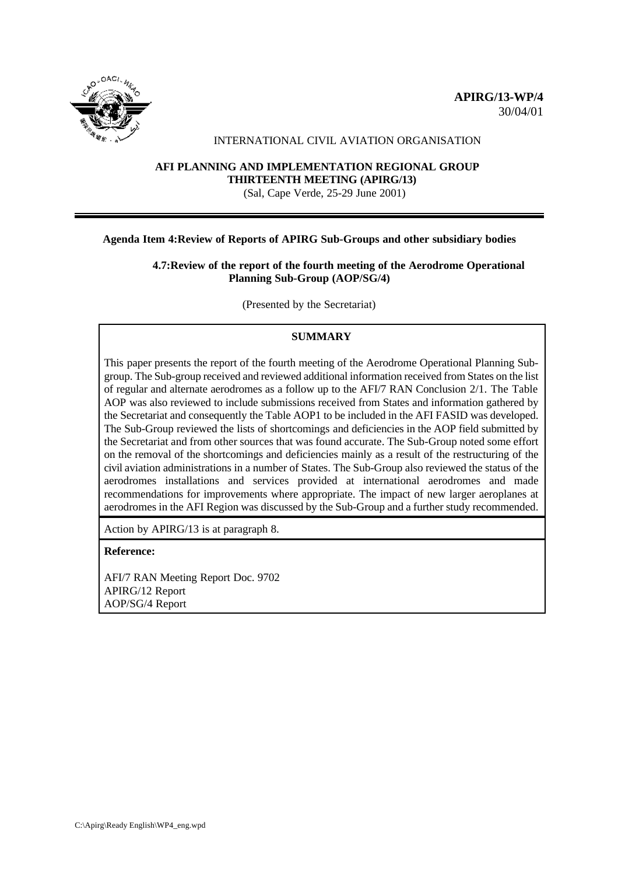



#### INTERNATIONAL CIVIL AVIATION ORGANISATION

# **AFI PLANNING AND IMPLEMENTATION REGIONAL GROUP THIRTEENTH MEETING (APIRG/13)**

(Sal, Cape Verde, 25-29 June 2001)

#### **Agenda Item 4:Review of Reports of APIRG Sub-Groups and other subsidiary bodies**

### **4.7:Review of the report of the fourth meeting of the Aerodrome Operational Planning Sub-Group (AOP/SG/4)**

(Presented by the Secretariat)

### **SUMMARY**

This paper presents the report of the fourth meeting of the Aerodrome Operational Planning Subgroup. The Sub-group received and reviewed additional information received from States on the list of regular and alternate aerodromes as a follow up to the AFI/7 RAN Conclusion 2/1. The Table AOP was also reviewed to include submissions received from States and information gathered by the Secretariat and consequently the Table AOP1 to be included in the AFI FASID was developed. The Sub-Group reviewed the lists of shortcomings and deficiencies in the AOP field submitted by the Secretariat and from other sources that was found accurate. The Sub-Group noted some effort on the removal of the shortcomings and deficiencies mainly as a result of the restructuring of the civil aviation administrations in a number of States. The Sub-Group also reviewed the status of the aerodromes installations and services provided at international aerodromes and made recommendations for improvements where appropriate. The impact of new larger aeroplanes at aerodromes in the AFI Region was discussed by the Sub-Group and a further study recommended.

Action by APIRG/13 is at paragraph 8.

**Reference:**

AFI/7 RAN Meeting Report Doc. 9702 APIRG/12 Report AOP/SG/4 Report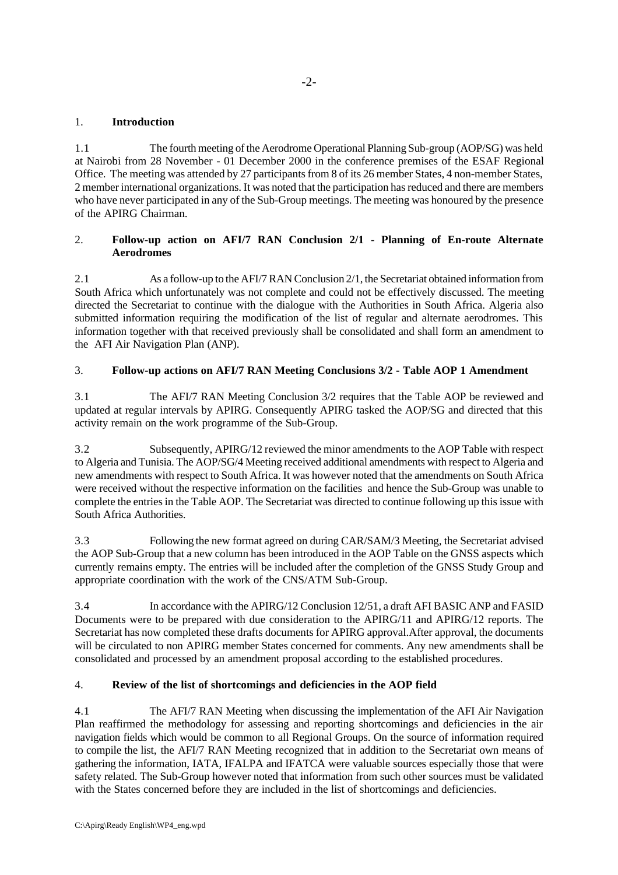### 1. **Introduction**

1.1 The fourth meeting of the Aerodrome Operational Planning Sub-group (AOP/SG) was held at Nairobi from 28 November - 01 December 2000 in the conference premises of the ESAF Regional Office. The meeting was attended by 27 participants from 8 of its 26 member States, 4 non-member States, 2 member international organizations. It was noted that the participation has reduced and there are members who have never participated in any of the Sub-Group meetings. The meeting was honoured by the presence of the APIRG Chairman.

### 2. **Follow-up action on AFI/7 RAN Conclusion 2/1 - Planning of En-route Alternate Aerodromes**

2.1 As a follow-up to the AFI/7 RAN Conclusion 2/1, the Secretariat obtained information from South Africa which unfortunately was not complete and could not be effectively discussed. The meeting directed the Secretariat to continue with the dialogue with the Authorities in South Africa. Algeria also submitted information requiring the modification of the list of regular and alternate aerodromes. This information together with that received previously shall be consolidated and shall form an amendment to the AFI Air Navigation Plan (ANP).

### 3. **Follow-up actions on AFI/7 RAN Meeting Conclusions 3/2 - Table AOP 1 Amendment**

3.1 The AFI/7 RAN Meeting Conclusion 3/2 requires that the Table AOP be reviewed and updated at regular intervals by APIRG. Consequently APIRG tasked the AOP/SG and directed that this activity remain on the work programme of the Sub-Group.

3.2 Subsequently, APIRG/12 reviewed the minor amendments to the AOP Table with respect to Algeria and Tunisia. The AOP/SG/4 Meeting received additional amendments with respect to Algeria and new amendments with respect to South Africa. It was however noted that the amendments on South Africa were received without the respective information on the facilities and hence the Sub-Group was unable to complete the entries in the Table AOP. The Secretariat was directed to continue following up this issue with South Africa Authorities.

3.3 Following the new format agreed on during CAR/SAM/3 Meeting, the Secretariat advised the AOP Sub-Group that a new column has been introduced in the AOP Table on the GNSS aspects which currently remains empty. The entries will be included after the completion of the GNSS Study Group and appropriate coordination with the work of the CNS/ATM Sub-Group.

3.4 In accordance with the APIRG/12 Conclusion 12/51, a draft AFI BASIC ANP and FASID Documents were to be prepared with due consideration to the APIRG/11 and APIRG/12 reports. The Secretariat has now completed these drafts documents for APIRG approval.After approval, the documents will be circulated to non APIRG member States concerned for comments. Any new amendments shall be consolidated and processed by an amendment proposal according to the established procedures.

# 4. **Review of the list of shortcomings and deficiencies in the AOP field**

4.1 The AFI/7 RAN Meeting when discussing the implementation of the AFI Air Navigation Plan reaffirmed the methodology for assessing and reporting shortcomings and deficiencies in the air navigation fields which would be common to all Regional Groups. On the source of information required to compile the list, the AFI/7 RAN Meeting recognized that in addition to the Secretariat own means of gathering the information, IATA, IFALPA and IFATCA were valuable sources especially those that were safety related. The Sub-Group however noted that information from such other sources must be validated with the States concerned before they are included in the list of shortcomings and deficiencies.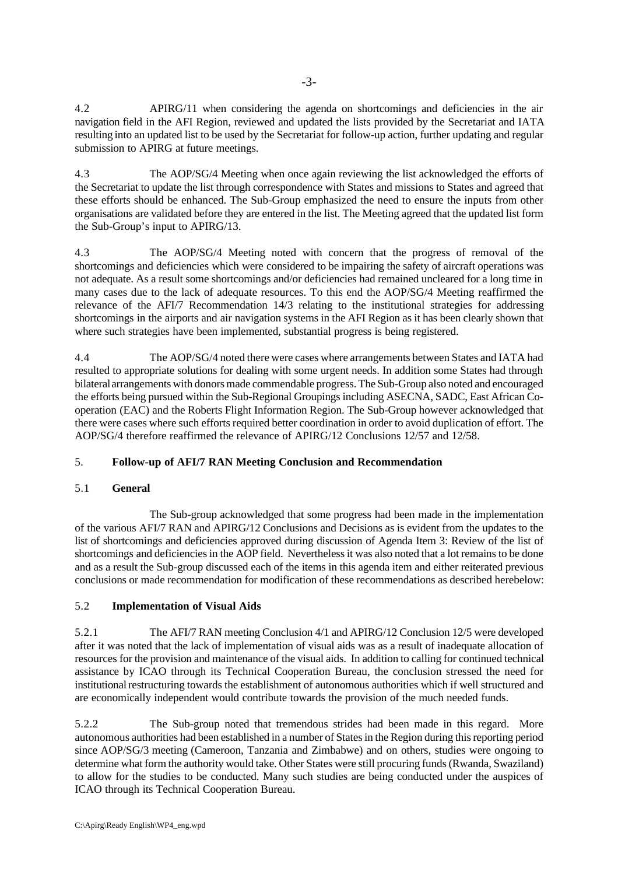4.2 APIRG/11 when considering the agenda on shortcomings and deficiencies in the air navigation field in the AFI Region, reviewed and updated the lists provided by the Secretariat and IATA resulting into an updated list to be used by the Secretariat for follow-up action, further updating and regular submission to APIRG at future meetings.

4.3 The AOP/SG/4 Meeting when once again reviewing the list acknowledged the efforts of the Secretariat to update the list through correspondence with States and missions to States and agreed that these efforts should be enhanced. The Sub-Group emphasized the need to ensure the inputs from other organisations are validated before they are entered in the list. The Meeting agreed that the updated list form the Sub-Group's input to APIRG/13.

4.3 The AOP/SG/4 Meeting noted with concern that the progress of removal of the shortcomings and deficiencies which were considered to be impairing the safety of aircraft operations was not adequate. As a result some shortcomings and/or deficiencies had remained uncleared for a long time in many cases due to the lack of adequate resources. To this end the AOP/SG/4 Meeting reaffirmed the relevance of the AFI/7 Recommendation 14/3 relating to the institutional strategies for addressing shortcomings in the airports and air navigation systems in the AFI Region as it has been clearly shown that where such strategies have been implemented, substantial progress is being registered.

4.4 The AOP/SG/4 noted there were cases where arrangements between States and IATA had resulted to appropriate solutions for dealing with some urgent needs. In addition some States had through bilateral arrangements with donors made commendable progress. The Sub-Group also noted and encouraged the efforts being pursued within the Sub-Regional Groupings including ASECNA, SADC, East African Cooperation (EAC) and the Roberts Flight Information Region. The Sub-Group however acknowledged that there were cases where such efforts required better coordination in order to avoid duplication of effort. The AOP/SG/4 therefore reaffirmed the relevance of APIRG/12 Conclusions 12/57 and 12/58.

# 5. **Follow-up of AFI/7 RAN Meeting Conclusion and Recommendation**

# 5.1 **General**

The Sub-group acknowledged that some progress had been made in the implementation of the various AFI/7 RAN and APIRG/12 Conclusions and Decisions as is evident from the updates to the list of shortcomings and deficiencies approved during discussion of Agenda Item 3: Review of the list of shortcomings and deficiencies in the AOP field. Nevertheless it was also noted that a lot remains to be done and as a result the Sub-group discussed each of the items in this agenda item and either reiterated previous conclusions or made recommendation for modification of these recommendations as described herebelow:

# 5.2 **Implementation of Visual Aids**

5.2.1 The AFI/7 RAN meeting Conclusion 4/1 and APIRG/12 Conclusion 12/5 were developed after it was noted that the lack of implementation of visual aids was as a result of inadequate allocation of resources for the provision and maintenance of the visual aids. In addition to calling for continued technical assistance by ICAO through its Technical Cooperation Bureau, the conclusion stressed the need for institutional restructuring towards the establishment of autonomous authorities which if well structured and are economically independent would contribute towards the provision of the much needed funds.

5.2.2 The Sub-group noted that tremendous strides had been made in this regard. More autonomous authorities had been established in a number of States in the Region during this reporting period since AOP/SG/3 meeting (Cameroon, Tanzania and Zimbabwe) and on others, studies were ongoing to determine what form the authority would take. Other States were still procuring funds (Rwanda, Swaziland) to allow for the studies to be conducted. Many such studies are being conducted under the auspices of ICAO through its Technical Cooperation Bureau.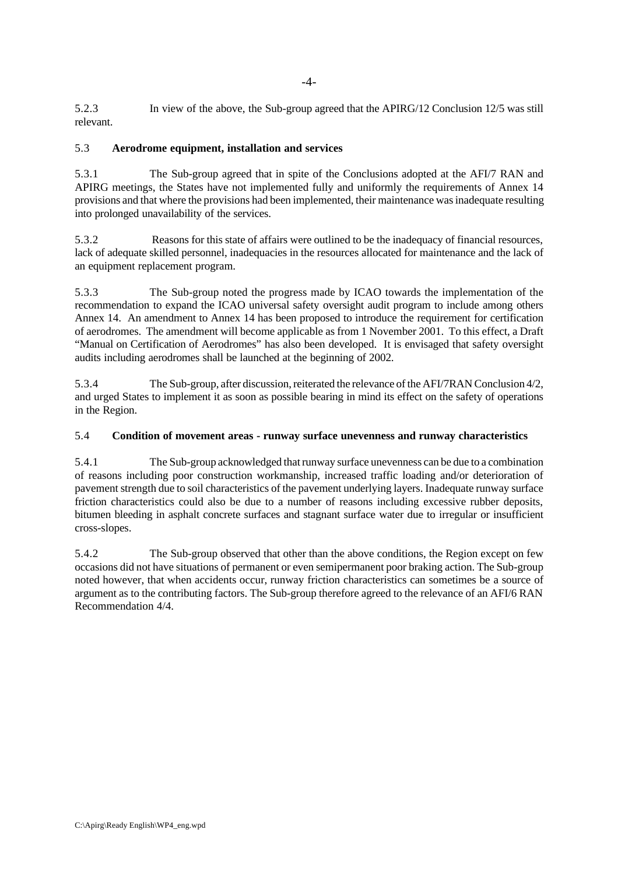5.2.3 In view of the above, the Sub-group agreed that the APIRG/12 Conclusion 12/5 was still relevant.

### 5.3 **Aerodrome equipment, installation and services**

5.3.1 The Sub-group agreed that in spite of the Conclusions adopted at the AFI/7 RAN and APIRG meetings, the States have not implemented fully and uniformly the requirements of Annex 14 provisions and that where the provisions had been implemented, their maintenance was inadequate resulting into prolonged unavailability of the services.

5.3.2 Reasons for this state of affairs were outlined to be the inadequacy of financial resources, lack of adequate skilled personnel, inadequacies in the resources allocated for maintenance and the lack of an equipment replacement program.

5.3.3 The Sub-group noted the progress made by ICAO towards the implementation of the recommendation to expand the ICAO universal safety oversight audit program to include among others Annex 14. An amendment to Annex 14 has been proposed to introduce the requirement for certification of aerodromes. The amendment will become applicable as from 1 November 2001. To this effect, a Draft "Manual on Certification of Aerodromes" has also been developed. It is envisaged that safety oversight audits including aerodromes shall be launched at the beginning of 2002.

5.3.4 The Sub-group, after discussion, reiterated the relevance of the AFI/7RAN Conclusion 4/2, and urged States to implement it as soon as possible bearing in mind its effect on the safety of operations in the Region.

### 5.4 **Condition of movement areas - runway surface unevenness and runway characteristics**

5.4.1 The Sub-group acknowledged that runway surface unevenness can be due to a combination of reasons including poor construction workmanship, increased traffic loading and/or deterioration of pavement strength due to soil characteristics of the pavement underlying layers. Inadequate runway surface friction characteristics could also be due to a number of reasons including excessive rubber deposits, bitumen bleeding in asphalt concrete surfaces and stagnant surface water due to irregular or insufficient cross-slopes.

5.4.2 The Sub-group observed that other than the above conditions, the Region except on few occasions did not have situations of permanent or even semipermanent poor braking action. The Sub-group noted however, that when accidents occur, runway friction characteristics can sometimes be a source of argument as to the contributing factors. The Sub-group therefore agreed to the relevance of an AFI/6 RAN Recommendation 4/4.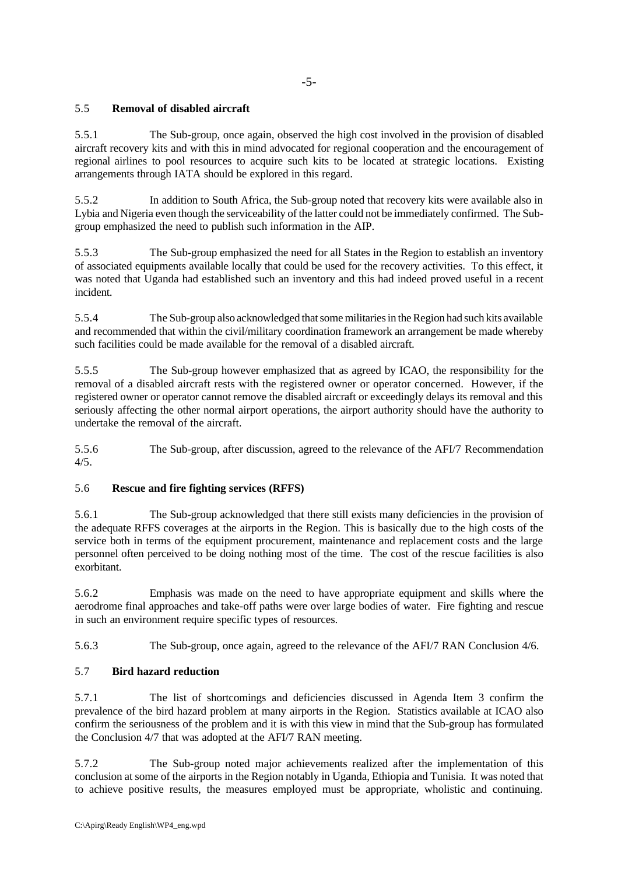### 5.5 **Removal of disabled aircraft**

5.5.1 The Sub-group, once again, observed the high cost involved in the provision of disabled aircraft recovery kits and with this in mind advocated for regional cooperation and the encouragement of regional airlines to pool resources to acquire such kits to be located at strategic locations. Existing arrangements through IATA should be explored in this regard.

5.5.2 In addition to South Africa, the Sub-group noted that recovery kits were available also in Lybia and Nigeria even though the serviceability of the latter could not be immediately confirmed. The Subgroup emphasized the need to publish such information in the AIP.

5.5.3 The Sub-group emphasized the need for all States in the Region to establish an inventory of associated equipments available locally that could be used for the recovery activities. To this effect, it was noted that Uganda had established such an inventory and this had indeed proved useful in a recent incident.

5.5.4 The Sub-group also acknowledged that some militaries in the Region had such kits available and recommended that within the civil/military coordination framework an arrangement be made whereby such facilities could be made available for the removal of a disabled aircraft.

5.5.5 The Sub-group however emphasized that as agreed by ICAO, the responsibility for the removal of a disabled aircraft rests with the registered owner or operator concerned. However, if the registered owner or operator cannot remove the disabled aircraft or exceedingly delays its removal and this seriously affecting the other normal airport operations, the airport authority should have the authority to undertake the removal of the aircraft.

5.5.6 The Sub-group, after discussion, agreed to the relevance of the AFI/7 Recommendation 4/5.

#### 5.6 **Rescue and fire fighting services (RFFS)**

5.6.1 The Sub-group acknowledged that there still exists many deficiencies in the provision of the adequate RFFS coverages at the airports in the Region. This is basically due to the high costs of the service both in terms of the equipment procurement, maintenance and replacement costs and the large personnel often perceived to be doing nothing most of the time. The cost of the rescue facilities is also exorbitant.

5.6.2 Emphasis was made on the need to have appropriate equipment and skills where the aerodrome final approaches and take-off paths were over large bodies of water. Fire fighting and rescue in such an environment require specific types of resources.

5.6.3 The Sub-group, once again, agreed to the relevance of the AFI/7 RAN Conclusion 4/6.

# 5.7 **Bird hazard reduction**

5.7.1 The list of shortcomings and deficiencies discussed in Agenda Item 3 confirm the prevalence of the bird hazard problem at many airports in the Region. Statistics available at ICAO also confirm the seriousness of the problem and it is with this view in mind that the Sub-group has formulated the Conclusion 4/7 that was adopted at the AFI/7 RAN meeting.

5.7.2 The Sub-group noted major achievements realized after the implementation of this conclusion at some of the airports in the Region notably in Uganda, Ethiopia and Tunisia. It was noted that to achieve positive results, the measures employed must be appropriate, wholistic and continuing.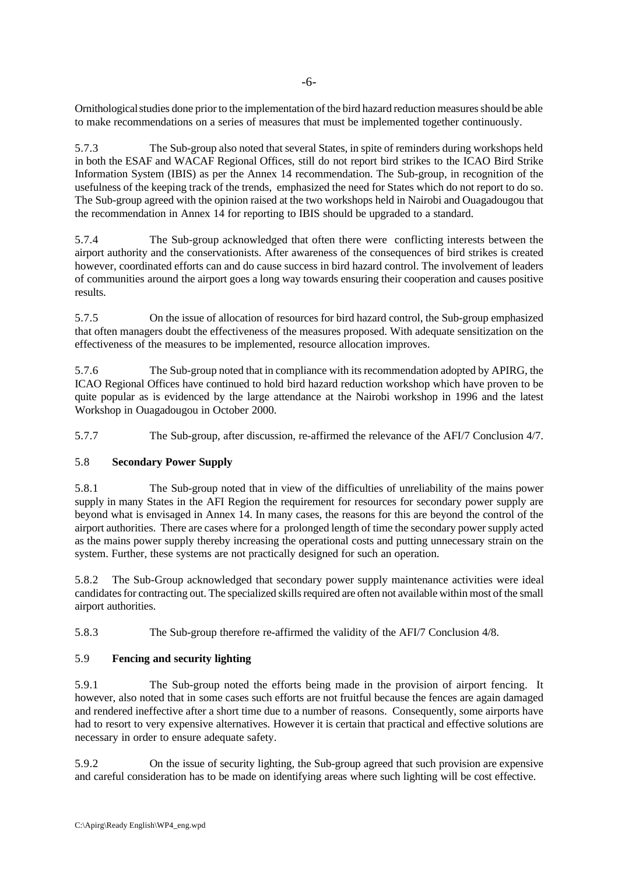Ornithological studies done prior to the implementation of the bird hazard reduction measures should be able to make recommendations on a series of measures that must be implemented together continuously.

5.7.3 The Sub-group also noted that several States, in spite of reminders during workshops held in both the ESAF and WACAF Regional Offices, still do not report bird strikes to the ICAO Bird Strike Information System (IBIS) as per the Annex 14 recommendation. The Sub-group, in recognition of the usefulness of the keeping track of the trends, emphasized the need for States which do not report to do so. The Sub-group agreed with the opinion raised at the two workshops held in Nairobi and Ouagadougou that the recommendation in Annex 14 for reporting to IBIS should be upgraded to a standard.

5.7.4 The Sub-group acknowledged that often there were conflicting interests between the airport authority and the conservationists. After awareness of the consequences of bird strikes is created however, coordinated efforts can and do cause success in bird hazard control. The involvement of leaders of communities around the airport goes a long way towards ensuring their cooperation and causes positive results.

5.7.5 On the issue of allocation of resources for bird hazard control, the Sub-group emphasized that often managers doubt the effectiveness of the measures proposed. With adequate sensitization on the effectiveness of the measures to be implemented, resource allocation improves.

5.7.6 The Sub-group noted that in compliance with its recommendation adopted by APIRG, the ICAO Regional Offices have continued to hold bird hazard reduction workshop which have proven to be quite popular as is evidenced by the large attendance at the Nairobi workshop in 1996 and the latest Workshop in Ouagadougou in October 2000.

5.7.7 The Sub-group, after discussion, re-affirmed the relevance of the AFI/7 Conclusion 4/7.

# 5.8 **Secondary Power Supply**

5.8.1 The Sub-group noted that in view of the difficulties of unreliability of the mains power supply in many States in the AFI Region the requirement for resources for secondary power supply are beyond what is envisaged in Annex 14. In many cases, the reasons for this are beyond the control of the airport authorities. There are cases where for a prolonged length of time the secondary power supply acted as the mains power supply thereby increasing the operational costs and putting unnecessary strain on the system. Further, these systems are not practically designed for such an operation.

5.8.2 The Sub-Group acknowledged that secondary power supply maintenance activities were ideal candidates for contracting out. The specialized skills required are often not available within most of the small airport authorities.

5.8.3 The Sub-group therefore re-affirmed the validity of the AFI/7 Conclusion 4/8.

# 5.9 **Fencing and security lighting**

5.9.1 The Sub-group noted the efforts being made in the provision of airport fencing. It however, also noted that in some cases such efforts are not fruitful because the fences are again damaged and rendered ineffective after a short time due to a number of reasons. Consequently, some airports have had to resort to very expensive alternatives. However it is certain that practical and effective solutions are necessary in order to ensure adequate safety.

5.9.2 On the issue of security lighting, the Sub-group agreed that such provision are expensive and careful consideration has to be made on identifying areas where such lighting will be cost effective.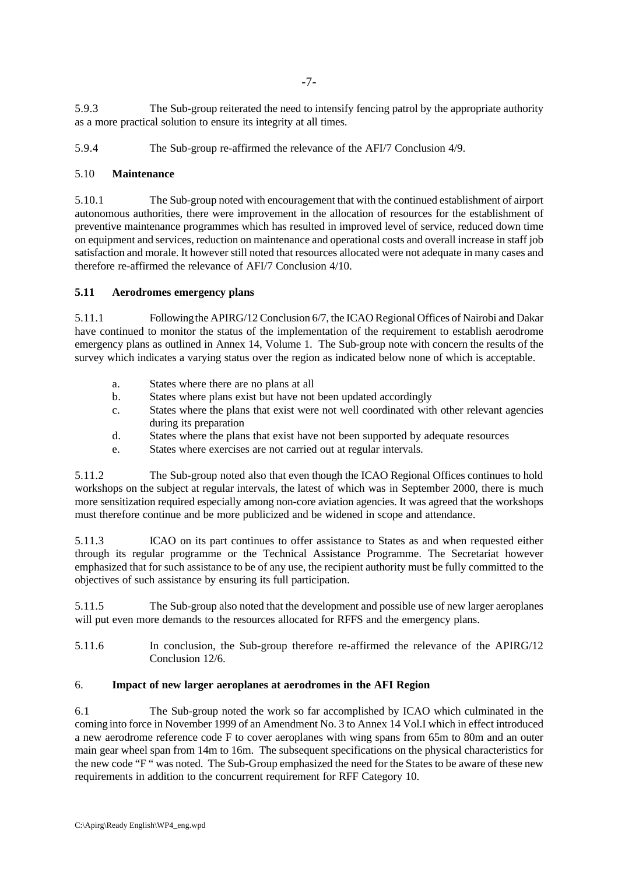5.9.3 The Sub-group reiterated the need to intensify fencing patrol by the appropriate authority as a more practical solution to ensure its integrity at all times.

5.9.4 The Sub-group re-affirmed the relevance of the AFI/7 Conclusion 4/9.

### 5.10 **Maintenance**

5.10.1 The Sub-group noted with encouragement that with the continued establishment of airport autonomous authorities, there were improvement in the allocation of resources for the establishment of preventive maintenance programmes which has resulted in improved level of service, reduced down time on equipment and services, reduction on maintenance and operational costs and overall increase in staff job satisfaction and morale. It however still noted that resources allocated were not adequate in many cases and therefore re-affirmed the relevance of AFI/7 Conclusion 4/10.

#### **5.11 Aerodromes emergency plans**

5.11.1 Following the APIRG/12 Conclusion 6/7, the ICAO Regional Offices of Nairobi and Dakar have continued to monitor the status of the implementation of the requirement to establish aerodrome emergency plans as outlined in Annex 14, Volume 1. The Sub-group note with concern the results of the survey which indicates a varying status over the region as indicated below none of which is acceptable.

- a. States where there are no plans at all
- b. States where plans exist but have not been updated accordingly
- c. States where the plans that exist were not well coordinated with other relevant agencies during its preparation
- d. States where the plans that exist have not been supported by adequate resources
- e. States where exercises are not carried out at regular intervals.

5.11.2 The Sub-group noted also that even though the ICAO Regional Offices continues to hold workshops on the subject at regular intervals, the latest of which was in September 2000, there is much more sensitization required especially among non-core aviation agencies. It was agreed that the workshops must therefore continue and be more publicized and be widened in scope and attendance.

5.11.3 ICAO on its part continues to offer assistance to States as and when requested either through its regular programme or the Technical Assistance Programme. The Secretariat however emphasized that for such assistance to be of any use, the recipient authority must be fully committed to the objectives of such assistance by ensuring its full participation.

5.11.5 The Sub-group also noted that the development and possible use of new larger aeroplanes will put even more demands to the resources allocated for RFFS and the emergency plans.

5.11.6 In conclusion, the Sub-group therefore re-affirmed the relevance of the APIRG/12 Conclusion 12/6.

#### 6. **Impact of new larger aeroplanes at aerodromes in the AFI Region**

6.1 The Sub-group noted the work so far accomplished by ICAO which culminated in the coming into force in November 1999 of an Amendment No. 3 to Annex 14 Vol.I which in effect introduced a new aerodrome reference code F to cover aeroplanes with wing spans from 65m to 80m and an outer main gear wheel span from 14m to 16m. The subsequent specifications on the physical characteristics for the new code "F " was noted. The Sub-Group emphasized the need for the States to be aware of these new requirements in addition to the concurrent requirement for RFF Category 10.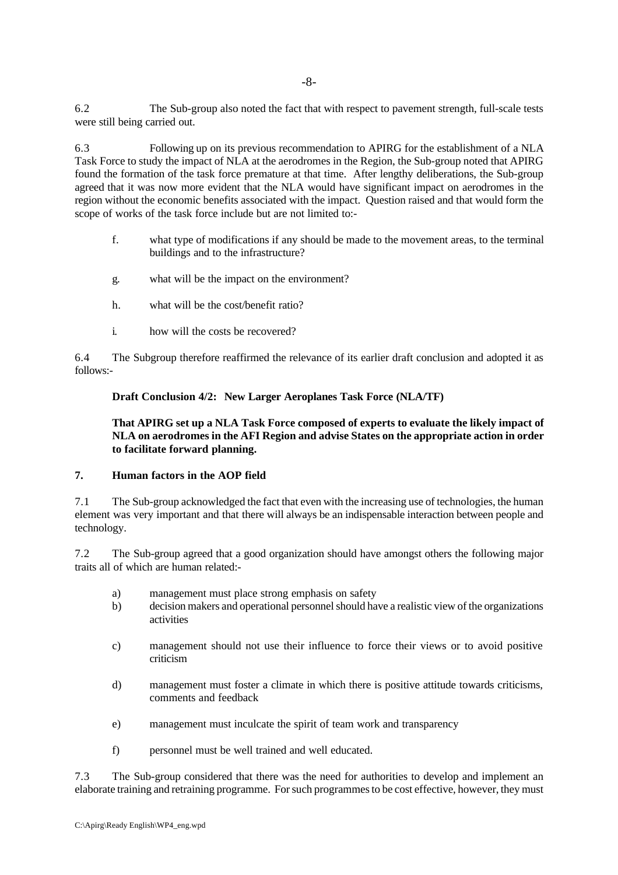6.2 The Sub-group also noted the fact that with respect to pavement strength, full-scale tests were still being carried out.

6.3 Following up on its previous recommendation to APIRG for the establishment of a NLA Task Force to study the impact of NLA at the aerodromes in the Region, the Sub-group noted that APIRG found the formation of the task force premature at that time. After lengthy deliberations, the Sub-group agreed that it was now more evident that the NLA would have significant impact on aerodromes in the region without the economic benefits associated with the impact. Question raised and that would form the scope of works of the task force include but are not limited to:-

- f. what type of modifications if any should be made to the movement areas, to the terminal buildings and to the infrastructure?
- g. what will be the impact on the environment?
- h. what will be the cost/benefit ratio?
- i. how will the costs be recovered?

6.4 The Subgroup therefore reaffirmed the relevance of its earlier draft conclusion and adopted it as follows:-

#### **Draft Conclusion 4/2: New Larger Aeroplanes Task Force (NLA/TF)**

#### **That APIRG set up a NLA Task Force composed of experts to evaluate the likely impact of NLA on aerodromes in the AFI Region and advise States on the appropriate action in order to facilitate forward planning.**

#### **7. Human factors in the AOP field**

7.1 The Sub-group acknowledged the fact that even with the increasing use of technologies, the human element was very important and that there will always be an indispensable interaction between people and technology.

7.2 The Sub-group agreed that a good organization should have amongst others the following major traits all of which are human related:-

- a) management must place strong emphasis on safety
- b) decision makers and operational personnel should have a realistic view of the organizations activities
- c) management should not use their influence to force their views or to avoid positive criticism
- d) management must foster a climate in which there is positive attitude towards criticisms, comments and feedback
- e) management must inculcate the spirit of team work and transparency
- f) personnel must be well trained and well educated.

7.3 The Sub-group considered that there was the need for authorities to develop and implement an elaborate training and retraining programme. For such programmes to be cost effective, however, they must